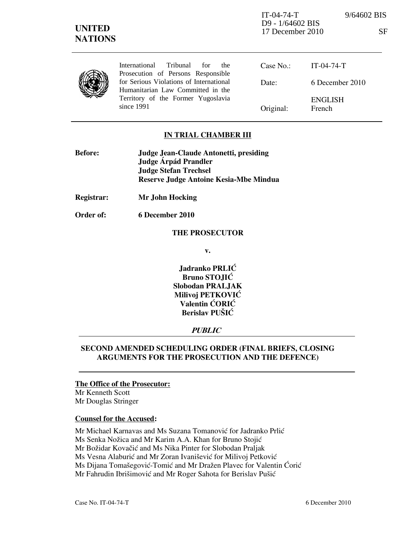International Tribunal for the Prosecution of Persons Responsible for Serious Violations of International Humanitarian Law Committed in the Territory of the Former Yugoslavia since 1991

Case No.: Date: Original: IT-04-74-T 6 December 2010 ENGLISH French

# IN TRIAL CHAMBER III

| <b>Before:</b> | Judge Jean-Claude Antonetti, presiding |
|----------------|----------------------------------------|
|                | Judge Árpád Prandler                   |
|                | <b>Judge Stefan Trechsel</b>           |
|                | Reserve Judge Antoine Kesia-Mbe Mindua |
|                |                                        |

Registrar: Mr John Hocking

Order of: 6 December 2010

#### THE PROSECUTOR

v.

Jadranko PRLIĆ Bruno STOJIĆ Slobodan PRALJAK Milivoj PETKOVIĆ Valentin ĆORIĆ Berislav PUŠIĆ

# **PUBLIC**

## SECOND AMENDED SCHEDULING ORDER (FINAL BRIEFS, CLOSING ARGUMENTS FOR THE PROSECUTION AND THE DEFENCE)

### The Office of the Prosecutor:

Mr Kenneth Scott Mr Douglas Stringer

### Counsel for the Accused:

Mr Michael Karnavas and Ms Suzana Tomanović for Jadranko Prlić

Ms Senka Nožica and Mr Karim A.A. Khan for Bruno Stojić

Mr Božidar Kovačić and Ms Nika Pinter for Slobodan Praljak

Ms Vesna Alaburić and Mr Zoran Ivanišević for Milivoj Petković

Ms Dijana Tomašegović-Tomić and Mr Dražen Plavec for Valentin Ćorić

Mr Fahrudin Ibrišimović and Mr Roger Sahota for Berislav Pušić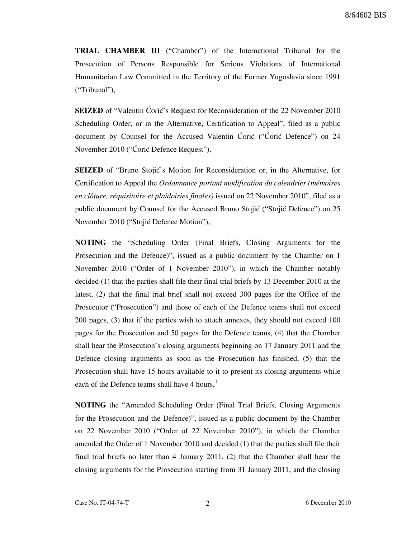TRIAL CHAMBER III ("Chamber") of the International Tribunal for the Prosecution of Persons Responsible for Serious Violations of International Humanitarian Law Committed in the Territory of the Former Yugoslavia since 1991 ("Tribunal"),

**SEIZED** of "Valentin Coric's Request for Reconsideration of the 22 November 2010 Scheduling Order, or in the Alternative, Certification to Appeal", filed as a public document by Counsel for the Accused Valentin Coric ("Coric Defence") on 24 November 2010 ("Coric Defence Request"),

**SEIZED** of "Bruno Stojić's Motion for Reconsideration or, in the Alternative, for Certification to Appeal the Ordonnance portant modification du calendrier (mémoires en clôture, réquisitoire et plaidoiries finales) issued on 22 November 2010", filed as a public document by Counsel for the Accused Bruno Stojić ("Stojić Defence") on 25 November 2010 ("Stojić Defence Motion"),

NOTING the "Scheduling Order (Final Briefs, Closing Arguments for the Prosecution and the Defence)", issued as a public document by the Chamber on 1 November 2010 ("Order of 1 November 2010"), in which the Chamber notably decided (1) that the parties shall file their final trial briefs by 13 December 2010 at the latest, (2) that the final trial brief shall not exceed 300 pages for the Office of the Prosecutor ("Prosecution") and those of each of the Defence teams shall not exceed 200 pages, (3) that if the parties wish to attach annexes, they should not exceed 100 pages for the Prosecution and 50 pages for the Defence teams, (4) that the Chamber shall hear the Prosecution's closing arguments beginning on 17 January 2011 and the Defence closing arguments as soon as the Prosecution has finished, (5) that the Prosecution shall have 15 hours available to it to present its closing arguments while each of the Defence teams shall have 4 hours,<sup>1</sup>

NOTING the "Amended Scheduling Order (Final Trial Briefs, Closing Arguments for the Prosecution and the Defence)", issued as a public document by the Chamber on 22 November 2010 ("Order of 22 November 2010"), in which the Chamber amended the Order of 1 November 2010 and decided (1) that the parties shall file their final trial briefs no later than 4 January 2011, (2) that the Chamber shall hear the closing arguments for the Prosecution starting from 31 January 2011, and the closing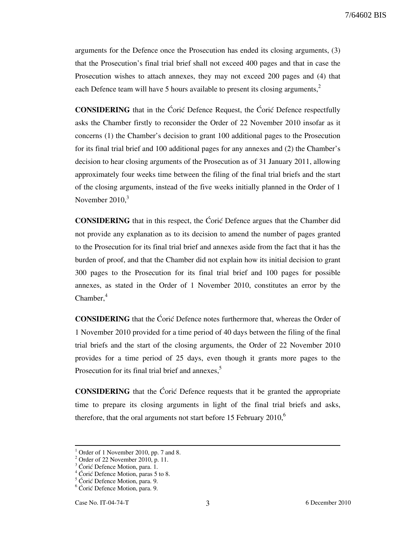7/64602 BIS

arguments for the Defence once the Prosecution has ended its closing arguments, (3) that the Prosecution's final trial brief shall not exceed 400 pages and that in case the Prosecution wishes to attach annexes, they may not exceed 200 pages and (4) that each Defence team will have 5 hours available to present its closing arguments, $<sup>2</sup>$ </sup>

**CONSIDERING** that in the Coric Defence Request, the Coric Defence respectfully asks the Chamber firstly to reconsider the Order of 22 November 2010 insofar as it concerns (1) the Chamber's decision to grant 100 additional pages to the Prosecution for its final trial brief and 100 additional pages for any annexes and (2) the Chamber's decision to hear closing arguments of the Prosecution as of 31 January 2011, allowing approximately four weeks time between the filing of the final trial briefs and the start of the closing arguments, instead of the five weeks initially planned in the Order of 1 November  $2010<sup>3</sup>$ 

**CONSIDERING** that in this respect, the Coric Defence argues that the Chamber did not provide any explanation as to its decision to amend the number of pages granted to the Prosecution for its final trial brief and annexes aside from the fact that it has the burden of proof, and that the Chamber did not explain how its initial decision to grant 300 pages to the Prosecution for its final trial brief and 100 pages for possible annexes, as stated in the Order of 1 November 2010, constitutes an error by the  $Chamber.<sup>4</sup>$ 

CONSIDERING that the Ćorić Defence notes furthermore that, whereas the Order of 1 November 2010 provided for a time period of 40 days between the filing of the final trial briefs and the start of the closing arguments, the Order of 22 November 2010 provides for a time period of 25 days, even though it grants more pages to the Prosecution for its final trial brief and annexes,<sup>5</sup>

**CONSIDERING** that the Ćorić Defence requests that it be granted the appropriate time to prepare its closing arguments in light of the final trial briefs and asks, therefore, that the oral arguments not start before 15 February  $2010$ ,<sup>6</sup>

<sup>&</sup>lt;sup>1</sup> Order of 1 November 2010, pp. 7 and 8.

<sup>2</sup> Order of 22 November 2010, p. 11.

 $3$  Ćorić Defence Motion, para. 1.

 $4$  Ćorić Defence Motion, paras 5 to 8.

 $5$  Ćorić Defence Motion, para. 9.

 $6$  Ćorić Defence Motion, para. 9.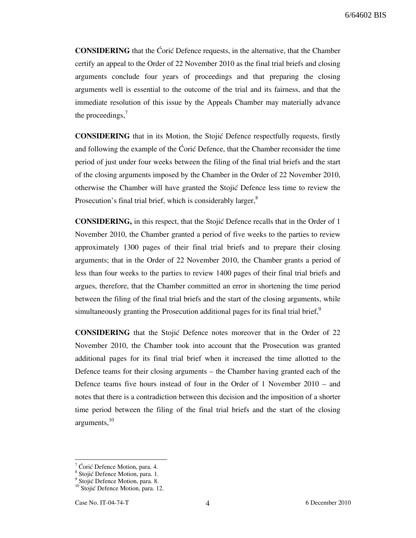**CONSIDERING** that the Coric Defence requests, in the alternative, that the Chamber certify an appeal to the Order of 22 November 2010 as the final trial briefs and closing arguments conclude four years of proceedings and that preparing the closing arguments well is essential to the outcome of the trial and its fairness, and that the immediate resolution of this issue by the Appeals Chamber may materially advance the proceedings, $\frac{7}{2}$ 

**CONSIDERING** that in its Motion, the Stojic Defence respectfully requests, firstly and following the example of the Coric Defence, that the Chamber reconsider the time period of just under four weeks between the filing of the final trial briefs and the start of the closing arguments imposed by the Chamber in the Order of 22 November 2010, otherwise the Chamber will have granted the Stojić Defence less time to review the Prosecution's final trial brief, which is considerably larger,<sup>8</sup>

**CONSIDERING,** in this respect, that the Stojić Defence recalls that in the Order of 1 November 2010, the Chamber granted a period of five weeks to the parties to review approximately 1300 pages of their final trial briefs and to prepare their closing arguments; that in the Order of 22 November 2010, the Chamber grants a period of less than four weeks to the parties to review 1400 pages of their final trial briefs and argues, therefore, that the Chamber committed an error in shortening the time period between the filing of the final trial briefs and the start of the closing arguments, while simultaneously granting the Prosecution additional pages for its final trial brief, $\frac{9}{2}$ 

**CONSIDERING** that the Stojić Defence notes moreover that in the Order of 22 November 2010, the Chamber took into account that the Prosecution was granted additional pages for its final trial brief when it increased the time allotted to the Defence teams for their closing arguments – the Chamber having granted each of the Defence teams five hours instead of four in the Order of 1 November 2010 – and notes that there is a contradiction between this decision and the imposition of a shorter time period between the filing of the final trial briefs and the start of the closing arguments, $10$ 

 $\frac{7}{7}$  Ćorić Defence Motion, para. 4.

<sup>&</sup>lt;sup>8</sup> Stojić Defence Motion, para. 1.

<sup>&</sup>lt;sup>9</sup> Stojić Defence Motion, para. 8.

 $10$  Stojić Defence Motion, para. 12.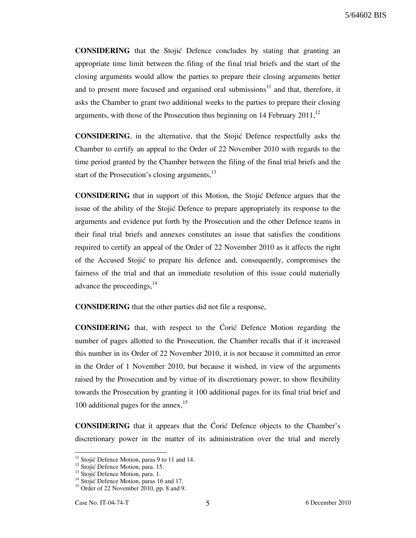5/64602 BIS

**CONSIDERING** that the Stojić Defence concludes by stating that granting an appropriate time limit between the filing of the final trial briefs and the start of the closing arguments would allow the parties to prepare their closing arguments better and to present more focused and organised oral submissions<sup>11</sup> and that, therefore, it asks the Chamber to grant two additional weeks to the parties to prepare their closing arguments, with those of the Prosecution thus beginning on 14 February 2011, $^{12}$ 

**CONSIDERING**, in the alternative, that the Stojić Defence respectfully asks the Chamber to certify an appeal to the Order of 22 November 2010 with regards to the time period granted by the Chamber between the filing of the final trial briefs and the start of the Prosecution's closing arguments,<sup>13</sup>

**CONSIDERING** that in support of this Motion, the Stojic Defence argues that the issue of the ability of the Stojić Defence to prepare appropriately its response to the arguments and evidence put forth by the Prosecution and the other Defence teams in their final trial briefs and annexes constitutes an issue that satisfies the conditions required to certify an appeal of the Order of 22 November 2010 as it affects the right of the Accused Stojić to prepare his defence and, consequently, compromises the fairness of the trial and that an immediate resolution of this issue could materially advance the proceedings, <sup>14</sup>

CONSIDERING that the other parties did not file a response,

**CONSIDERING** that, with respect to the Coric Defence Motion regarding the number of pages allotted to the Prosecution, the Chamber recalls that if it increased this number in its Order of 22 November 2010, it is not because it committed an error in the Order of 1 November 2010, but because it wished, in view of the arguments raised by the Prosecution and by virtue of its discretionary power, to show flexibility towards the Prosecution by granting it 100 additional pages for its final trial brief and 100 additional pages for the annex,  $15$ 

**CONSIDERING** that it appears that the Coric Defence objects to the Chamber's discretionary power in the matter of its administration over the trial and merely

 $11$  Stojić Defence Motion, paras 9 to 11 and 14.

<sup>&</sup>lt;sup>12</sup> Stojić Defence Motion, para. 15.

<sup>&</sup>lt;sup>13</sup> Stojić Defence Motion, para. 1.

<sup>&</sup>lt;sup>14</sup> Stojić Defence Motion, paras 16 and 17.

 $15$  Order of 22 November 2010, pp. 8 and 9.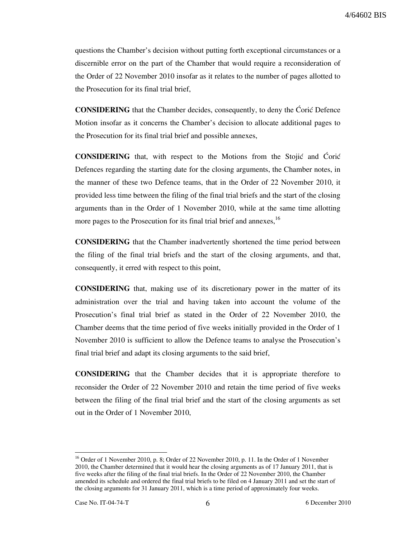questions the Chamber's decision without putting forth exceptional circumstances or a discernible error on the part of the Chamber that would require a reconsideration of the Order of 22 November 2010 insofar as it relates to the number of pages allotted to the Prosecution for its final trial brief,

**CONSIDERING** that the Chamber decides, consequently, to deny the Ćorić Defence Motion insofar as it concerns the Chamber's decision to allocate additional pages to the Prosecution for its final trial brief and possible annexes,

**CONSIDERING** that, with respect to the Motions from the Stojić and Corić Defences regarding the starting date for the closing arguments, the Chamber notes, in the manner of these two Defence teams, that in the Order of 22 November 2010, it provided less time between the filing of the final trial briefs and the start of the closing arguments than in the Order of 1 November 2010, while at the same time allotting more pages to the Prosecution for its final trial brief and annexes,<sup>16</sup>

CONSIDERING that the Chamber inadvertently shortened the time period between the filing of the final trial briefs and the start of the closing arguments, and that, consequently, it erred with respect to this point,

CONSIDERING that, making use of its discretionary power in the matter of its administration over the trial and having taken into account the volume of the Prosecution's final trial brief as stated in the Order of 22 November 2010, the Chamber deems that the time period of five weeks initially provided in the Order of 1 November 2010 is sufficient to allow the Defence teams to analyse the Prosecution's final trial brief and adapt its closing arguments to the said brief,

CONSIDERING that the Chamber decides that it is appropriate therefore to reconsider the Order of 22 November 2010 and retain the time period of five weeks between the filing of the final trial brief and the start of the closing arguments as set out in the Order of 1 November 2010,

<sup>&</sup>lt;sup>16</sup> Order of 1 November 2010, p. 8; Order of 22 November 2010, p. 11. In the Order of 1 November 2010, the Chamber determined that it would hear the closing arguments as of 17 January 2011, that is five weeks after the filing of the final trial briefs. In the Order of 22 November 2010, the Chamber amended its schedule and ordered the final trial briefs to be filed on 4 January 2011 and set the start of the closing arguments for 31 January 2011, which is a time period of approximately four weeks.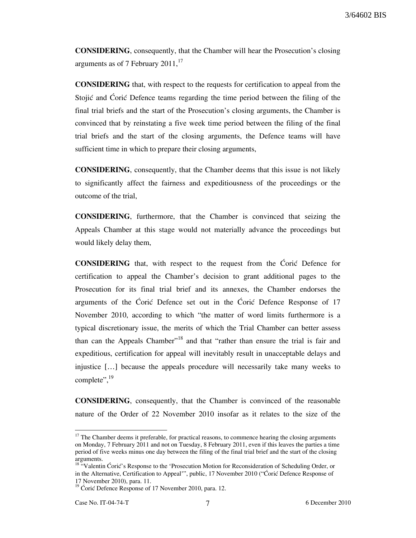CONSIDERING, consequently, that the Chamber will hear the Prosecution's closing arguments as of 7 February  $2011$ ,<sup>17</sup>

CONSIDERING that, with respect to the requests for certification to appeal from the Stojić and Corić Defence teams regarding the time period between the filing of the final trial briefs and the start of the Prosecution's closing arguments, the Chamber is convinced that by reinstating a five week time period between the filing of the final trial briefs and the start of the closing arguments, the Defence teams will have sufficient time in which to prepare their closing arguments,

CONSIDERING, consequently, that the Chamber deems that this issue is not likely to significantly affect the fairness and expeditiousness of the proceedings or the outcome of the trial,

CONSIDERING, furthermore, that the Chamber is convinced that seizing the Appeals Chamber at this stage would not materially advance the proceedings but would likely delay them,

**CONSIDERING** that, with respect to the request from the Coric Defence for certification to appeal the Chamber's decision to grant additional pages to the Prosecution for its final trial brief and its annexes, the Chamber endorses the arguments of the Ćorić Defence set out in the Ćorić Defence Response of 17 November 2010, according to which "the matter of word limits furthermore is a typical discretionary issue, the merits of which the Trial Chamber can better assess than can the Appeals Chamber"<sup>18</sup> and that "rather than ensure the trial is fair and expeditious, certification for appeal will inevitably result in unacceptable delays and injustice […] because the appeals procedure will necessarily take many weeks to complete", $^{19}$ 

CONSIDERING, consequently, that the Chamber is convinced of the reasonable nature of the Order of 22 November 2010 insofar as it relates to the size of the

 $17$  The Chamber deems it preferable, for practical reasons, to commence hearing the closing arguments on Monday, 7 February 2011 and not on Tuesday, 8 February 2011, even if this leaves the parties a time period of five weeks minus one day between the filing of the final trial brief and the start of the closing arguments.

<sup>&</sup>lt;sup>18</sup> "Valentin Ćorić's Response to the 'Prosecution Motion for Reconsideration of Scheduling Order, or in the Alternative, Certification to Appeal'", public, 17 November 2010 ("Ćorić Defence Response of 17 November 2010), para. 11.

 $19$  Ćorić Defence Response of 17 November 2010, para. 12.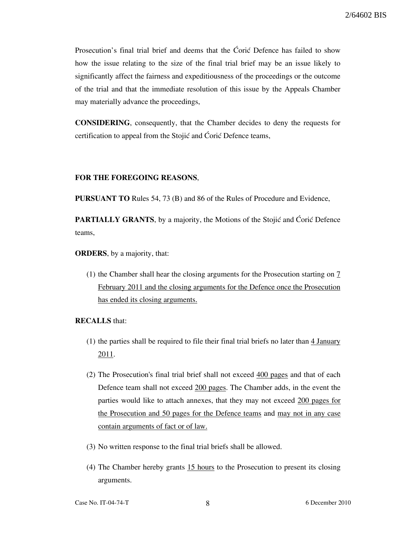Prosecution's final trial brief and deems that the Ćorić Defence has failed to show how the issue relating to the size of the final trial brief may be an issue likely to significantly affect the fairness and expeditiousness of the proceedings or the outcome of the trial and that the immediate resolution of this issue by the Appeals Chamber may materially advance the proceedings,

CONSIDERING, consequently, that the Chamber decides to deny the requests for certification to appeal from the Stojić and Ćorić Defence teams,

#### FOR THE FOREGOING REASONS,

PURSUANT TO Rules 54, 73 (B) and 86 of the Rules of Procedure and Evidence,

**PARTIALLY GRANTS,** by a majority, the Motions of the Stojić and Coric Defence teams,

ORDERS, by a majority, that:

(1) the Chamber shall hear the closing arguments for the Prosecution starting on 7 February 2011 and the closing arguments for the Defence once the Prosecution has ended its closing arguments.

### RECALLS that:

- (1) the parties shall be required to file their final trial briefs no later than 4 January 2011.
- (2) The Prosecution's final trial brief shall not exceed 400 pages and that of each Defence team shall not exceed 200 pages. The Chamber adds, in the event the parties would like to attach annexes, that they may not exceed 200 pages for the Prosecution and 50 pages for the Defence teams and may not in any case contain arguments of fact or of law.
- (3) No written response to the final trial briefs shall be allowed.
- (4) The Chamber hereby grants 15 hours to the Prosecution to present its closing arguments.